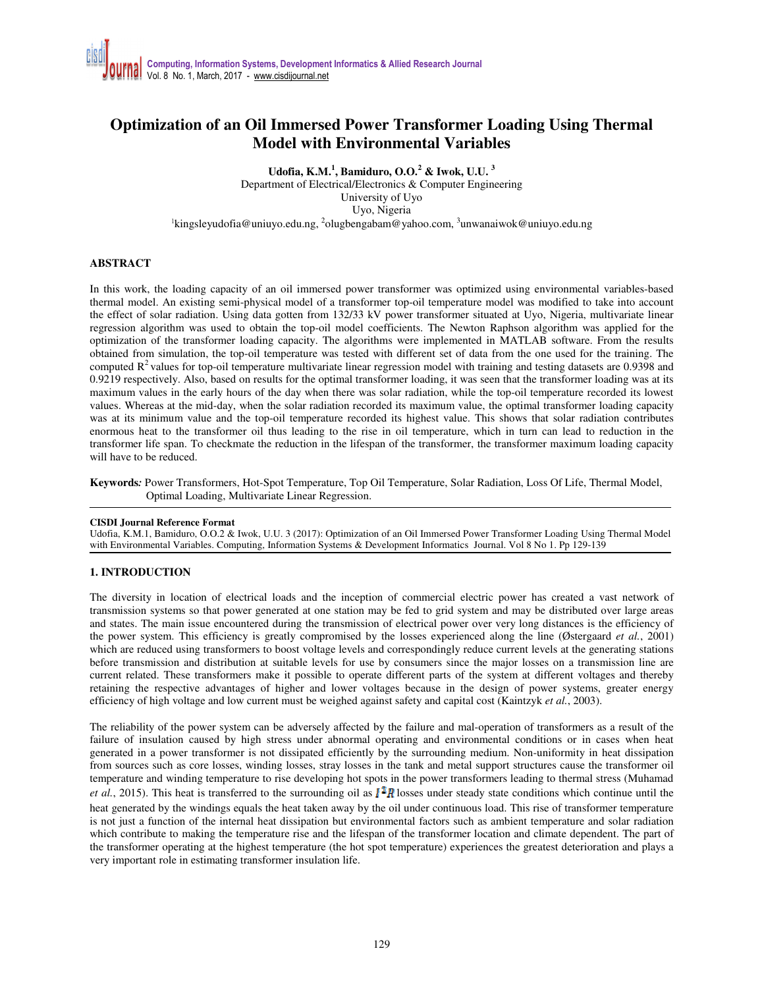## **Optimization of an Oil Immersed Power Transformer Loading Using Thermal Model with Environmental Variables**

**Udofia, K.M.<sup>1</sup> , Bamiduro, O.O.<sup>2</sup> & Iwok, U.U. <sup>3</sup>**

Department of Electrical/Electronics & Computer Engineering University of Uyo Uyo, Nigeria <sup>1</sup>kingsleyudofia@uniuyo.edu.ng, <sup>2</sup>olugbengabam@yahoo.com, <sup>3</sup>unwanaiwok@uniuyo.edu.ng

### **ABSTRACT**

In this work, the loading capacity of an oil immersed power transformer was optimized using environmental variables-based thermal model. An existing semi-physical model of a transformer top-oil temperature model was modified to take into account the effect of solar radiation. Using data gotten from 132/33 kV power transformer situated at Uyo, Nigeria, multivariate linear regression algorithm was used to obtain the top-oil model coefficients. The Newton Raphson algorithm was applied for the optimization of the transformer loading capacity. The algorithms were implemented in MATLAB software. From the results obtained from simulation, the top-oil temperature was tested with different set of data from the one used for the training. The computed  $R<sup>2</sup>$  values for top-oil temperature multivariate linear regression model with training and testing datasets are 0.9398 and 0.9219 respectively. Also, based on results for the optimal transformer loading, it was seen that the transformer loading was at its maximum values in the early hours of the day when there was solar radiation, while the top-oil temperature recorded its lowest values. Whereas at the mid-day, when the solar radiation recorded its maximum value, the optimal transformer loading capacity was at its minimum value and the top-oil temperature recorded its highest value. This shows that solar radiation contributes enormous heat to the transformer oil thus leading to the rise in oil temperature, which in turn can lead to reduction in the transformer life span. To checkmate the reduction in the lifespan of the transformer, the transformer maximum loading capacity will have to be reduced.

**Keywords***:* Power Transformers, Hot-Spot Temperature, Top Oil Temperature, Solar Radiation, Loss Of Life, Thermal Model, Optimal Loading, Multivariate Linear Regression.

### **CISDI Journal Reference Format**

Udofia, K.M.1, Bamiduro, O.O.2 & Iwok, U.U. 3 (2017): Optimization of an Oil Immersed Power Transformer Loading Using Thermal Model with Environmental Variables. Computing, Information Systems & Development Informatics Journal. Vol 8 No 1. Pp 129-139

### **1. INTRODUCTION**

The diversity in location of electrical loads and the inception of commercial electric power has created a vast network of transmission systems so that power generated at one station may be fed to grid system and may be distributed over large areas and states. The main issue encountered during the transmission of electrical power over very long distances is the efficiency of the power system. This efficiency is greatly compromised by the losses experienced along the line (Østergaard *et al.*, 2001) which are reduced using transformers to boost voltage levels and correspondingly reduce current levels at the generating stations before transmission and distribution at suitable levels for use by consumers since the major losses on a transmission line are current related. These transformers make it possible to operate different parts of the system at different voltages and thereby retaining the respective advantages of higher and lower voltages because in the design of power systems, greater energy efficiency of high voltage and low current must be weighed against safety and capital cost (Kaintzyk *et al.*, 2003).

The reliability of the power system can be adversely affected by the failure and mal-operation of transformers as a result of the failure of insulation caused by high stress under abnormal operating and environmental conditions or in cases when heat generated in a power transformer is not dissipated efficiently by the surrounding medium. Non-uniformity in heat dissipation from sources such as core losses, winding losses, stray losses in the tank and metal support structures cause the transformer oil temperature and winding temperature to rise developing hot spots in the power transformers leading to thermal stress (Muhamad *et al.*, 2015). This heat is transferred to the surrounding oil as  $\mathbf{I}^T\mathbf{R}$  losses under steady state conditions which continue until the heat generated by the windings equals the heat taken away by the oil under continuous load. This rise of transformer temperature is not just a function of the internal heat dissipation but environmental factors such as ambient temperature and solar radiation which contribute to making the temperature rise and the lifespan of the transformer location and climate dependent. The part of the transformer operating at the highest temperature (the hot spot temperature) experiences the greatest deterioration and plays a very important role in estimating transformer insulation life.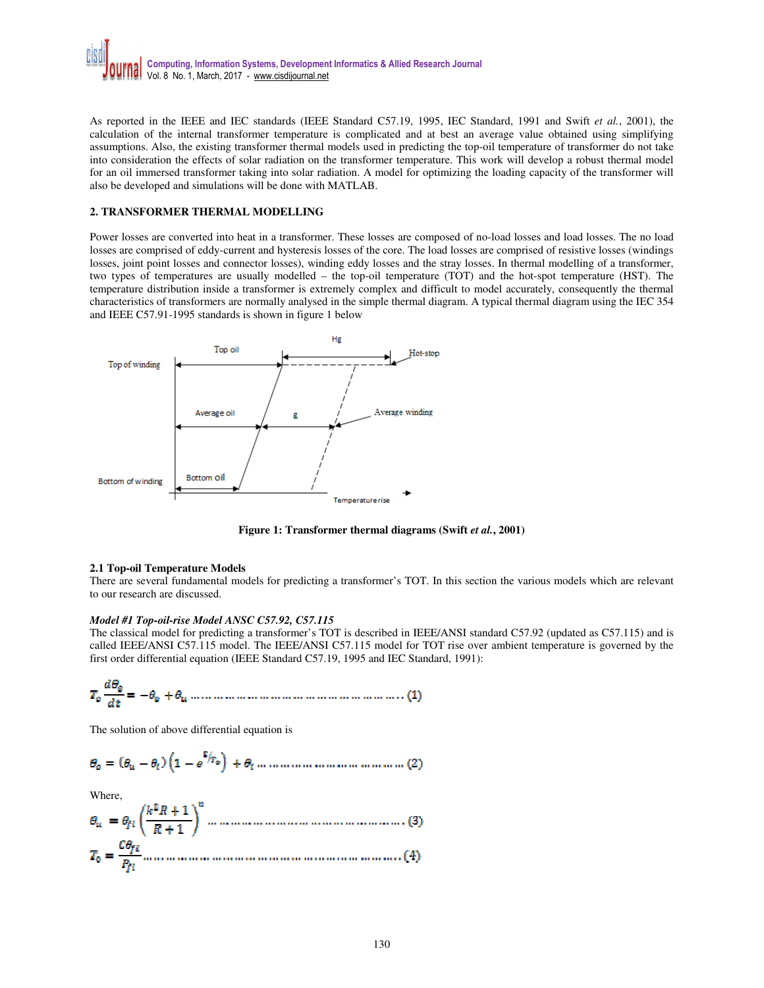

As reported in the IEEE and IEC standards (IEEE Standard C57.19, 1995, IEC Standard, 1991 and Swift *et al.*, 2001), the calculation of the internal transformer temperature is complicated and at best an average value obtained using simplifying assumptions. Also, the existing transformer thermal models used in predicting the top-oil temperature of transformer do not take into consideration the effects of solar radiation on the transformer temperature. This work will develop a robust thermal model for an oil immersed transformer taking into solar radiation. A model for optimizing the loading capacity of the transformer will also be developed and simulations will be done with MATLAB.

### **2. TRANSFORMER THERMAL MODELLING**

Power losses are converted into heat in a transformer. These losses are composed of no-load losses and load losses. The no load losses are comprised of eddy-current and hysteresis losses of the core. The load losses are comprised of resistive losses (windings losses, joint point losses and connector losses), winding eddy losses and the stray losses. In thermal modelling of a transformer, two types of temperatures are usually modelled – the top-oil temperature (TOT) and the hot-spot temperature (HST). The temperature distribution inside a transformer is extremely complex and difficult to model accurately, consequently the thermal characteristics of transformers are normally analysed in the simple thermal diagram. A typical thermal diagram using the IEC 354 and IEEE C57.91-1995 standards is shown in figure 1 below



Figure 1: Transformer thermal diagrams (Swift *et al.*, 2001)

#### **2.1 Top-oil Temperature Models**

There are several fundamental models for predicting a transformer's TOT. In this section the various models which are relevant to our research are discussed.

### *Model #1 Top-oil-rise Model ANSC C57.92, C57.115*

The classical model for predicting a transformer's TOT is described in IEEE/ANSI standard C57.92 (updated as C57.115) and is called IEEE/ANSI C57.115 model. The IEEE/ANSI C57.115 model for TOT rise over ambient temperature is governed by the first order differential equation (IEEE Standard C57.19, 1995 and IEC Standard, 1991):

The solution of above differential equation is

Where,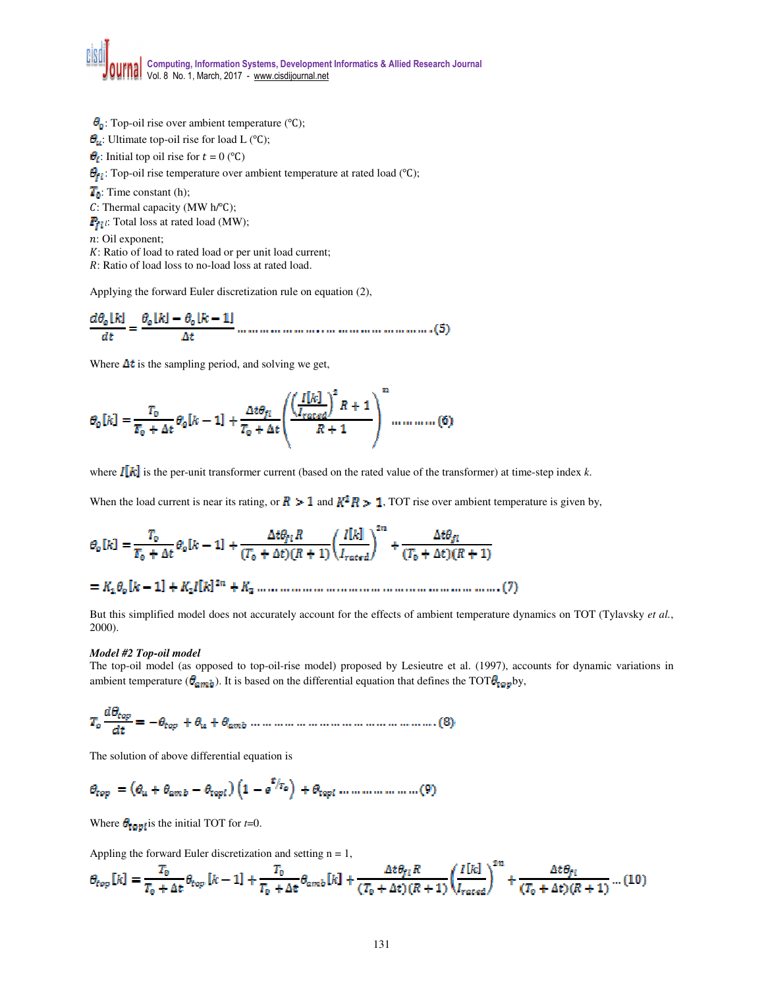$\theta_{\mathfrak{g}}$ : Top-oil rise over ambient temperature (°C);

 $\theta_{\mu}$ : Ultimate top-oil rise for load L (°C);

: Initial top oil rise for  $t = 0$  (°C)

 $\theta_{f}$ : Top-oil rise temperature over ambient temperature at rated load (°C);

 $T_0$ : Time constant (h);

: Thermal capacity (MW h/℃);

 $P_{fil}$ : Total loss at rated load (MW);

: Oil exponent;

: Ratio of load to rated load or per unit load current;

: Ratio of load loss to no-load loss at rated load.

Applying the forward Euler discretization rule on equation (2),

Where  $\Delta t$  is the sampling period, and solving we get,

$$
\theta_o[k] = \frac{T_0}{T_0 + \Delta t} \theta_o[k-1] + \frac{\Delta t \theta_{fl}}{T_0 + \Delta t} \left( \frac{\left(\frac{I[k]}{I_{rated}}\right)^2 R + 1}{R + 1} \right)^n \dots \dots \dots \dots (6)
$$

where  $\mathbf{I}[\mathbf{k}]$  is the per-unit transformer current (based on the rated value of the transformer) at time-step index *k*.

When the load current is near its rating, or  $\mathbb{R} > 1$  and  $\mathbb{R}^2 \mathbb{R} > 1$ , TOT rise over ambient temperature is given by,

But this simplified model does not accurately account for the effects of ambient temperature dynamics on TOT (Tylavsky *et al.*, 2000).

### *Model #2 Top-oil model*

The top-oil model (as opposed to top-oil-rise model) proposed by Lesieutre et al. (1997), accounts for dynamic variations in ambient temperature ( $\theta_{amb}$ ). It is based on the differential equation that defines the TOT $\theta_{tapp}$ by,

The solution of above differential equation is

$$
\theta_{top} = \left(\theta_{u} + \theta_{amb} - \theta_{topi}\right)\left(1 - e^{\mathbf{r}/T_{\phi}}\right) + \theta_{topi} \dots \dots \dots \dots \dots \dots \dots \dots \tag{9}
$$

Where  $\theta_{\text{fop.}}$  is the initial TOT for *t*=0.

Appling the forward Euler discretization and setting  $n = 1$ ,

$$
\theta_{top}[k] = \frac{T_0}{T_0 + \Delta t} \theta_{top}[k-1] + \frac{T_0}{T_0 + \Delta t} \theta_{amb}[k] + \frac{\Delta t \theta_{fl} R}{(T_0 + \Delta t)(R+1)} \left(\frac{I[k]}{I_{rated}}\right)^{2n} + \frac{\Delta t \theta_{fl}}{(T_0 + \Delta t)(R+1)} \dots (10)
$$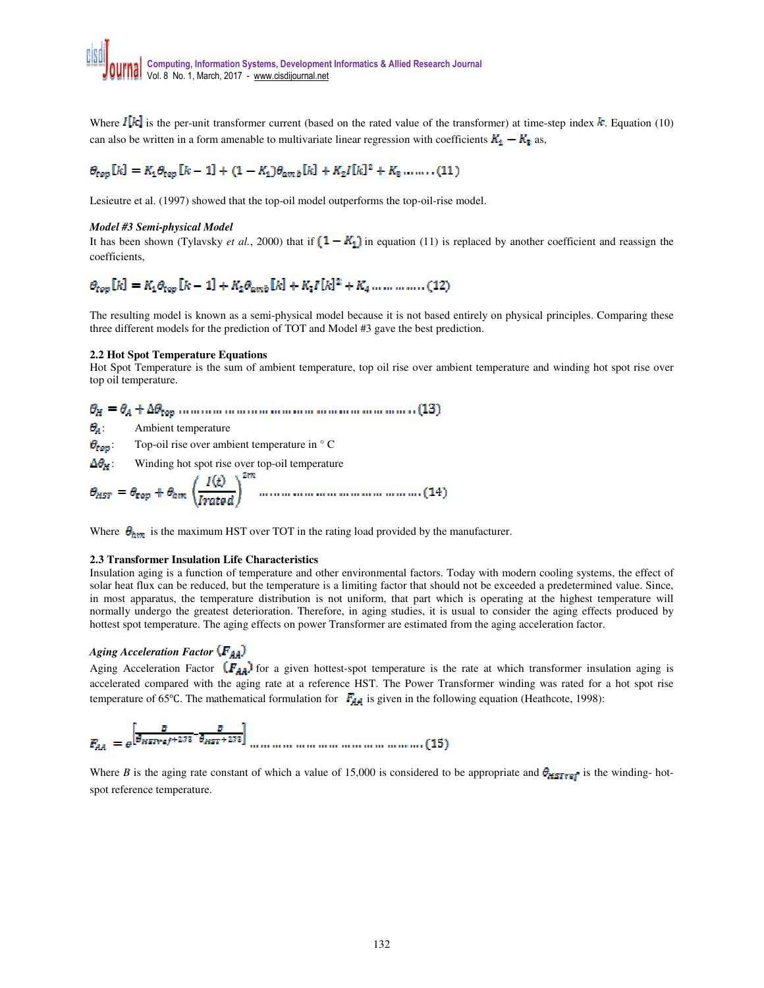Where  $I[k]$  is the per-unit transformer current (based on the rated value of the transformer) at time-step index  $k$ . Equation (10) can also be written in a form amenable to multivariate linear regression with coefficients  $K_1 - K_2$  as,

# $\theta_{top}[k] = K_1 \theta_{top}[k-1] + (1 - K_1) \theta_{amb}[k] + K_2 I[k]^2 + K_3 \dots \dots \dots (11)$

Lesieutre et al. (1997) showed that the top-oil model outperforms the top-oil-rise model.

### *Model #3 Semi-physical Model*

It has been shown (Tylavsky *et al.*, 2000) that if  $(1 - K_1)$  in equation (11) is replaced by another coefficient and reassign the coefficients,

# $\theta_{top}[k] = K_1 \theta_{top}[k-1] + K_2 \theta_{amb}[k] + K_3 I[k]^2 + K_4 \dots \dots \dots \dots (12)$

The resulting model is known as a semi-physical model because it is not based entirely on physical principles. Comparing these three different models for the prediction of TOT and Model #3 gave the best prediction.

#### **2.2 Hot Spot Temperature Equations**

Hot Spot Temperature is the sum of ambient temperature, top oil rise over ambient temperature and winding hot spot rise over top oil temperature.

### 

 $\theta_{\rm A}$ : Ambient temperature

 $\theta_{top}$ : Top-oil rise over ambient temperature in  $\circ$  C

 $\Delta\theta_H$ : Winding hot spot rise over top-oil temperature

Where  $\theta_{\text{arm}}$  is the maximum HST over TOT in the rating load provided by the manufacturer.

#### **2.3 Transformer Insulation Life Characteristics**

Insulation aging is a function of temperature and other environmental factors. Today with modern cooling systems, the effect of solar heat flux can be reduced, but the temperature is a limiting factor that should not be exceeded a predetermined value. Since, in most apparatus, the temperature distribution is not uniform, that part which is operating at the highest temperature will normally undergo the greatest deterioration. Therefore, in aging studies, it is usual to consider the aging effects produced by hottest spot temperature. The aging effects on power Transformer are estimated from the aging acceleration factor.

### *Aging Acceleration Factor*

Aging Acceleration Factor  $(F_{AA})$  for a given hottest-spot temperature is the rate at which transformer insulation aging is accelerated compared with the aging rate at a reference HST. The Power Transformer winding was rated for a hot spot rise temperature of 65°C. The mathematical formulation for  $F_{AA}$  is given in the following equation (Heathcote, 1998):

$$
F_{AA} = e^{\left[\frac{B}{\theta_{HSTref} + 272} - \frac{B}{\theta_{HST} + 272}\right]} \dots \dots \dots \dots \dots \dots \dots \dots \dots \dots \dots \dots \dots \dots (15)
$$

Where *B* is the aging rate constant of which a value of 15,000 is considered to be appropriate and  $\theta_{\text{HSTref}}$  is the winding- hotspot reference temperature.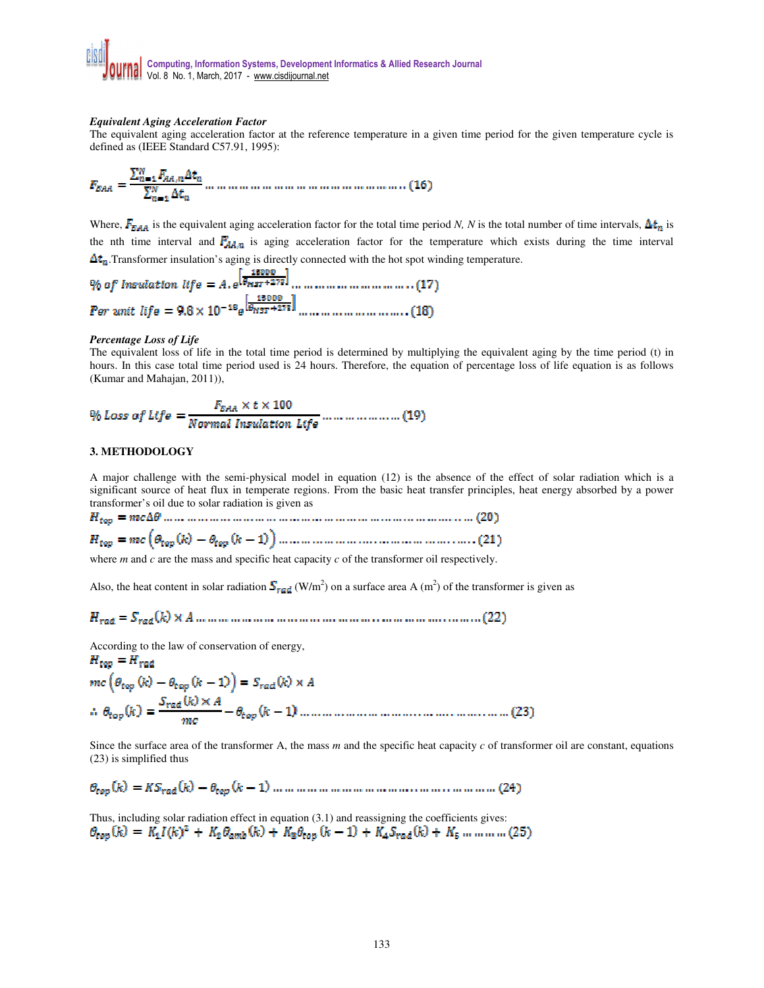### *Equivalent Aging Acceleration Factor*

The equivalent aging acceleration factor at the reference temperature in a given time period for the given temperature cycle is defined as (IEEE Standard C57.91, 1995):

Where,  $F_{\text{EAA}}$  is the equivalent aging acceleration factor for the total time period *N*, *N* is the total number of time intervals,  $\Delta t_n$  is the nth time interval and  $F_{A\&B}$  is aging acceleration factor for the temperature which exists during the time interval  $\Delta t_n$ . Transformer insulation's aging is directly connected with the hot spot winding temperature.

### *Percentage Loss of Life*

The equivalent loss of life in the total time period is determined by multiplying the equivalent aging by the time period (t) in hours. In this case total time period used is 24 hours. Therefore, the equation of percentage loss of life equation is as follows (Kumar and Mahajan, 2011)),

$$
\frac{q_0}{q_0}
$$
Loss of Life = 
$$
\frac{F_{EAA} \times t \times 100}{Normal In subdivision Life}
$$

### **3. METHODOLOGY**

A major challenge with the semi-physical model in equation (12) is the absence of the effect of solar radiation which is a significant source of heat flux in temperate regions. From the basic heat transfer principles, heat energy absorbed by a power transformer's oil due to solar radiation is given as

where *m* and *c* are the mass and specific heat capacity *c* of the transformer oil respectively.

Also, the heat content in solar radiation  $S_{rad}$  (W/m<sup>2</sup>) on a surface area A (m<sup>2</sup>) of the transformer is given as

According to the law of conservation of energy,

Since the surface area of the transformer A, the mass *m* and the specific heat capacity *c* of transformer oil are constant, equations (23) is simplified thus

Thus, including solar radiation effect in equation (3.1) and reassigning the coefficients gives:<br>  $\theta_{top}(k) = K_1 I(k)^2 + K_2 \theta_{amb}(k) + K_3 \theta_{top}(k-1) + K_4 S_{rad}(k) + K_5 \dots \dots \dots \dots$  (25)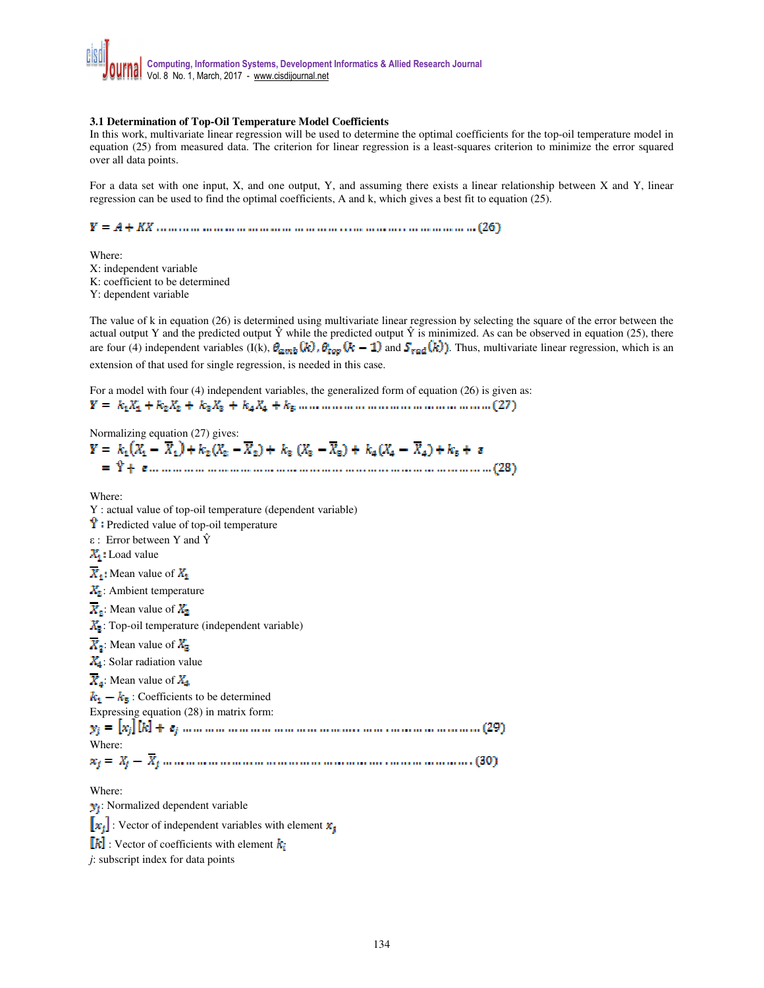### **3.1 Determination of Top-Oil Temperature Model Coefficients**

In this work, multivariate linear regression will be used to determine the optimal coefficients for the top-oil temperature model in equation (25) from measured data. The criterion for linear regression is a least-squares criterion to minimize the error squared over all data points.

For a data set with one input, X, and one output, Y, and assuming there exists a linear relationship between X and Y, linear regression can be used to find the optimal coefficients, A and k, which gives a best fit to equation (25).

Where: X: independent variable K: coefficient to be determined Y: dependent variable

The value of k in equation (26) is determined using multivariate linear regression by selecting the square of the error between the actual output Y and the predicted output  $\hat{Y}$  while the predicted output  $\hat{Y}$  is minimized. As can be observed in equation (25), there are four (4) independent variables (I(k),  $\theta_{\text{amb}}(k)$ ,  $\theta_{\text{top}}(k-1)$  and  $S_{\text{rad}}(k)$ ). Thus, multivariate linear regression, which is an extension of that used for single regression, is needed in this case.

For a model with four (4) independent variables, the generalized form of equation (26) is given as:

Normalizing equation (27) gives:<br>  $Y = k_1(X_1 - \overline{X}_1) + k_2(X_2 - \overline{X}_2) + k_3(X_3 - \overline{X}_3) + k_4(X_4 - \overline{X}_4) + k_5 + s$ Where: Y : actual value of top-oil temperature (dependent variable)  $\ddot{\mathbf{Y}}$ : Predicted value of top-oil temperature ε : Error between Y and Ŷ  $X_1$ : Load value  $\overline{X}_1$ : Mean value of  $\overline{X}_1$  $X_2$ : Ambient temperature  $\overline{X_2}$ : Mean value of  $\overline{X_2}$  $X_3$ : Top-oil temperature (independent variable)  $\overline{X_2}$ : Mean value of  $X_2$  $X_4$ : Solar radiation value  $\overline{X}_4$ : Mean value of  $X_4$  $k_1 - k_5$ : Coefficients to be determined Expressing equation (28) in matrix form: Where: Where:  $y_i$ : Normalized dependent variable  $\left[\mathbf{x}_i\right]$ : Vector of independent variables with element  $\mathbf{x}_i$  $\llbracket k \rrbracket$ : Vector of coefficients with element  $k_i$ *j*: subscript index for data points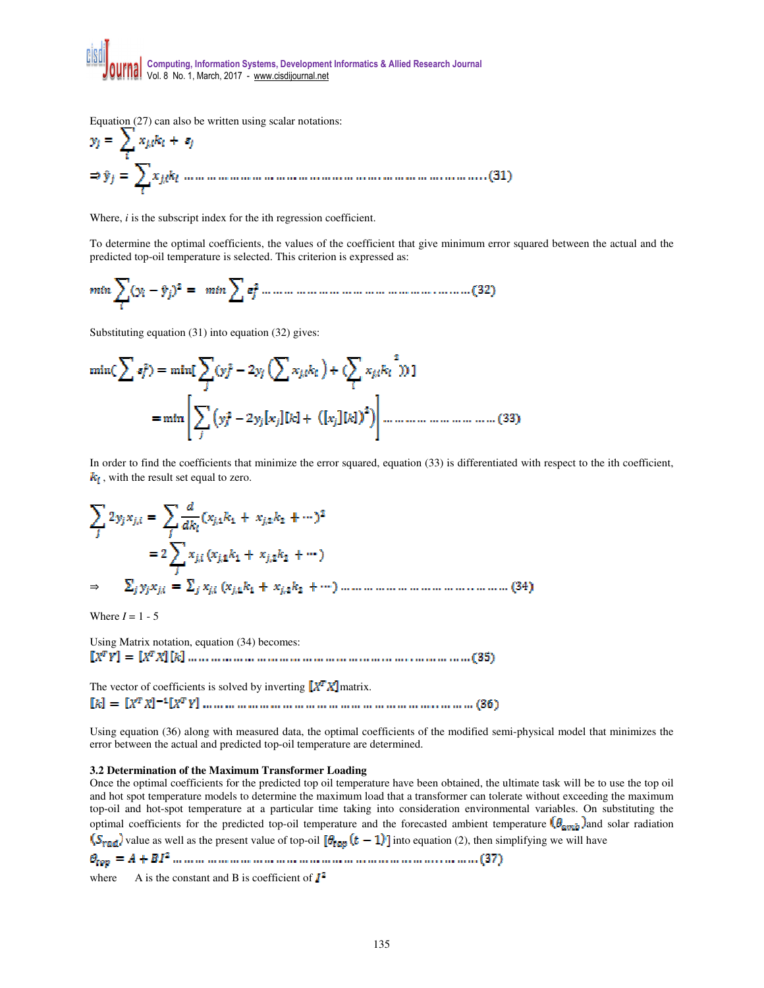**Computing, Information Systems, Development Informatics & Allied Research Journal**  Vol. 8 No. 1, March, 2017 - www.cisdijournal.net

Equation  $(27)$  can also be written using scalar notations:

Where, *i* is the subscript index for the ith regression coefficient.

To determine the optimal coefficients, the values of the coefficient that give minimum error squared between the actual and the predicted top-oil temperature is selected. This criterion is expressed as:

$$
min \sum_{i} (y_i - \hat{y}_j)^2 = min \sum_{i} \sigma_j^2 + \dots + \dots + \dots + \dots + \dots + \dots + \dots + \dots + (32)
$$

Substituting equation (31) into equation (32) gives:

In order to find the coefficients that minimize the error squared, equation (33) is differentiated with respect to the ith coefficient,  $k_i$ , with the result set equal to zero.

⇒

Where  $I = 1 - 5$ 

Using Matrix notation, equation (34) becomes:

The vector of coefficients is solved by inverting  $\left[\mathbf{X}^T\mathbf{X}\right]$  matrix. 

Using equation (36) along with measured data, the optimal coefficients of the modified semi-physical model that minimizes the error between the actual and predicted top-oil temperature are determined.

### **3.2 Determination of the Maximum Transformer Loading**

Once the optimal coefficients for the predicted top oil temperature have been obtained, the ultimate task will be to use the top oil and hot spot temperature models to determine the maximum load that a transformer can tolerate without exceeding the maximum top-oil and hot-spot temperature at a particular time taking into consideration environmental variables. On substituting the optimal coefficients for the predicted top-oil temperature and the forecasted ambient temperature  $\log_{m_{\text{th}}}$  and solar radiation  $\overline{(S_{\text{rad}})}$  value as well as the present value of top-oil  $[\theta_{\text{tag}}(t-1)]$  into equation (2), then simplifying we will have

where A is the constant and B is coefficient of

135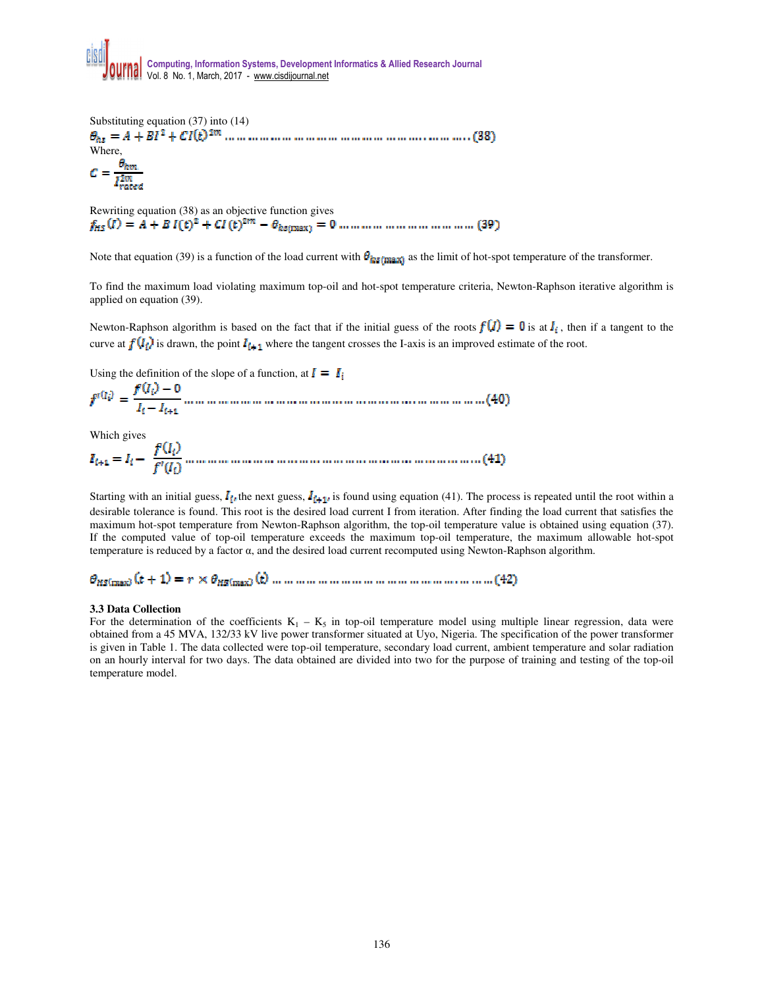

Substituting equation (37) into (14) Where,

Rewriting equation (38) as an objective function gives

Note that equation (39) is a function of the load current with  $\theta_{\text{hs}(\text{max})}$  as the limit of hot-spot temperature of the transformer.

To find the maximum load violating maximum top-oil and hot-spot temperature criteria, Newton-Raphson iterative algorithm is applied on equation (39).

Newton-Raphson algorithm is based on the fact that if the initial guess of the roots  $f(\vec{l}) = 0$  is at  $I_i$ , then if a tangent to the curve at  $f(l_i)$  is drawn, the point  $l_{i+1}$  where the tangent crosses the I-axis is an improved estimate of the root.

Using the definition of the slope of a function, at  $I = I_i$ 

Which gives  $\frac{1}{2}$ 

Starting with an initial guess,  $I_{i}$ , the next guess,  $I_{i+1}$ , is found using equation (41). The process is repeated until the root within a desirable tolerance is found. This root is the desired load current I from iteration. After finding the load current that satisfies the maximum hot-spot temperature from Newton-Raphson algorithm, the top-oil temperature value is obtained using equation (37). If the computed value of top-oil temperature exceeds the maximum top-oil temperature, the maximum allowable hot-spot temperature is reduced by a factor α, and the desired load current recomputed using Newton-Raphson algorithm.

## 

### **3.3 Data Collection**

For the determination of the coefficients  $K_1 - K_5$  in top-oil temperature model using multiple linear regression, data were obtained from a 45 MVA, 132/33 kV live power transformer situated at Uyo, Nigeria. The specification of the power transformer is given in Table 1. The data collected were top-oil temperature, secondary load current, ambient temperature and solar radiation on an hourly interval for two days. The data obtained are divided into two for the purpose of training and testing of the top-oil temperature model.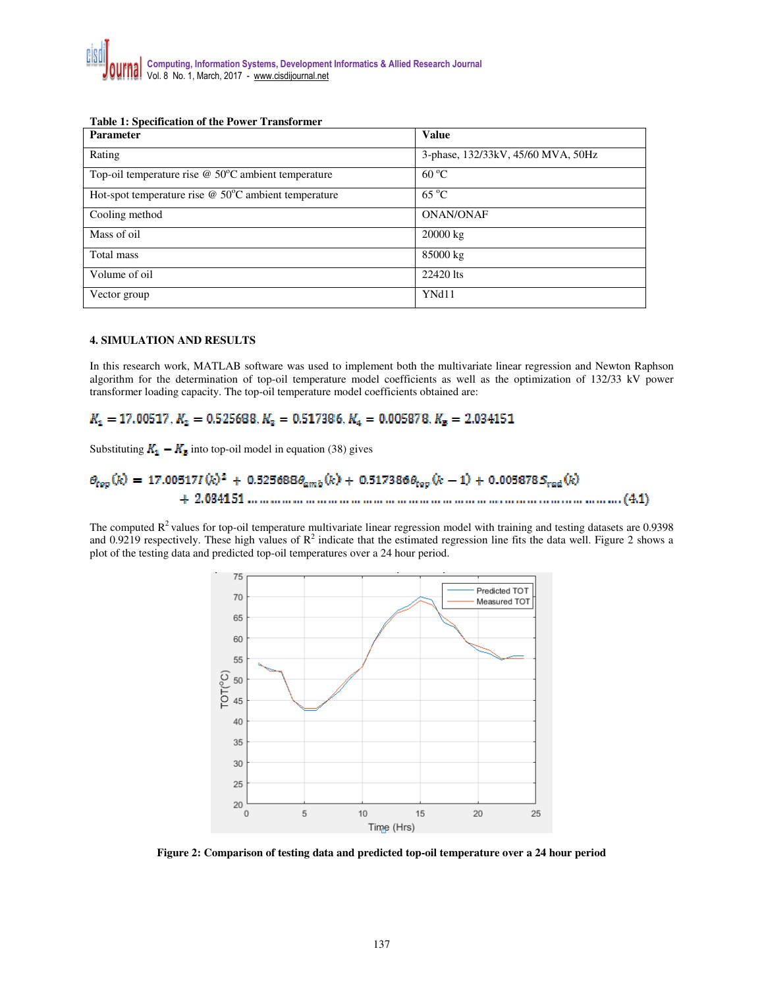### **Table 1: Specification of the Power Transformer**

| <b>Parameter</b>                                            | Value                              |
|-------------------------------------------------------------|------------------------------------|
| Rating                                                      | 3-phase, 132/33kV, 45/60 MVA, 50Hz |
| Top-oil temperature rise $@$ 50 $°C$ ambient temperature    | $60^{\circ}$ C                     |
| Hot-spot temperature rise $\omega$ 50°C ambient temperature | $65^{\circ}$ C                     |
| Cooling method                                              | <b>ONAN/ONAF</b>                   |
| Mass of oil                                                 | $20000 \text{ kg}$                 |
| Total mass                                                  | 85000 kg                           |
| Volume of oil                                               | 22420 lts                          |
| Vector group                                                | YNd11                              |

### **4. SIMULATION AND RESULTS**

In this research work, MATLAB software was used to implement both the multivariate linear regression and Newton Raphson algorithm for the determination of top-oil temperature model coefficients as well as the optimization of 132/33 kV power transformer loading capacity. The top-oil temperature model coefficients obtained are:

## $K_1 = 17.00517$ ,  $K_2 = 0.525688$ ,  $K_3 = 0.517386$ ,  $K_4 = 0.005878$ ,  $K_5 = 2.034151$

Substituting  $K_1 - K_2$  into top-oil model in equation (38) gives

The computed  $R^2$  values for top-oil temperature multivariate linear regression model with training and testing datasets are 0.9398 and 0.9219 respectively. These high values of  $R^2$  indicate that the estimated regression line fits the data well. Figure 2 shows a plot of the testing data and predicted top-oil temperatures over a 24 hour period.



**Figure 2: Comparison of testing data and predicted top-oil temperature over a 24 hour period**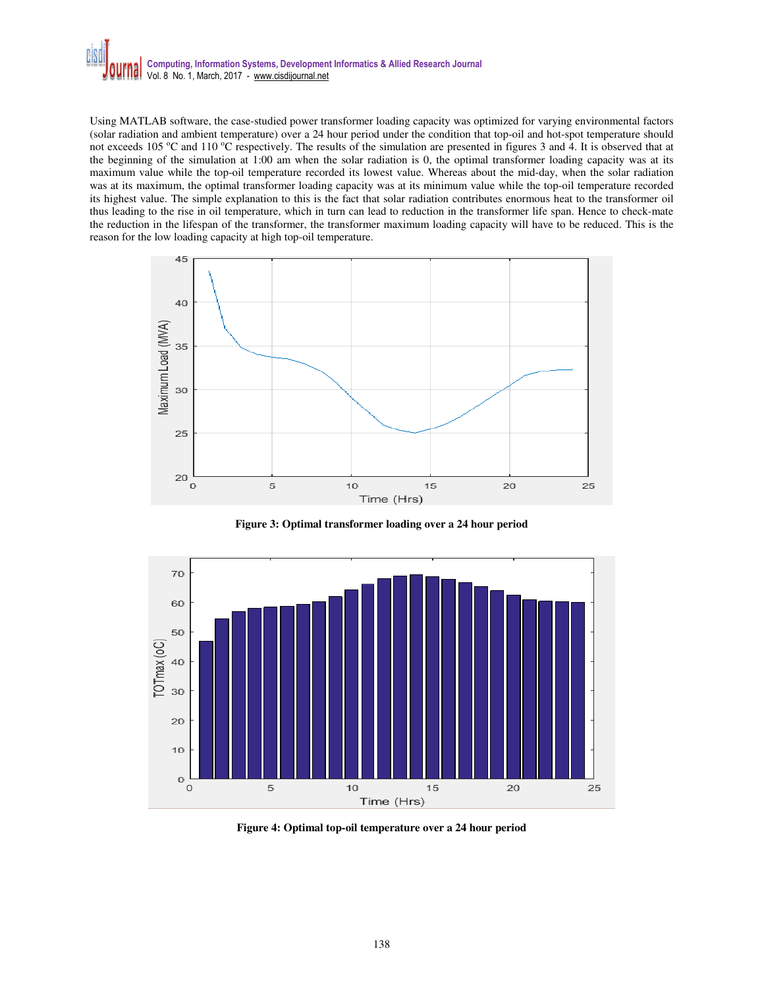

Using MATLAB software, the case-studied power transformer loading capacity was optimized for varying environmental factors (solar radiation and ambient temperature) over a 24 hour period under the condition that top-oil and hot-spot temperature should not exceeds 105  $\degree$ C and 110  $\degree$ C respectively. The results of the simulation are presented in figures 3 and 4. It is observed that at the beginning of the simulation at 1:00 am when the solar radiation is 0, the optimal transformer loading capacity was at its maximum value while the top-oil temperature recorded its lowest value. Whereas about the mid-day, when the solar radiation was at its maximum, the optimal transformer loading capacity was at its minimum value while the top-oil temperature recorded its highest value. The simple explanation to this is the fact that solar radiation contributes enormous heat to the transformer oil thus leading to the rise in oil temperature, which in turn can lead to reduction in the transformer life span. Hence to check-mate the reduction in the lifespan of the transformer, the transformer maximum loading capacity will have to be reduced. This is the reason for the low loading capacity at high top-oil temperature.



 **Figure 3: Optimal transformer loading over a 24 hour period** 



**Figure 4: Optimal top-oil temperature over a 24 hour period**